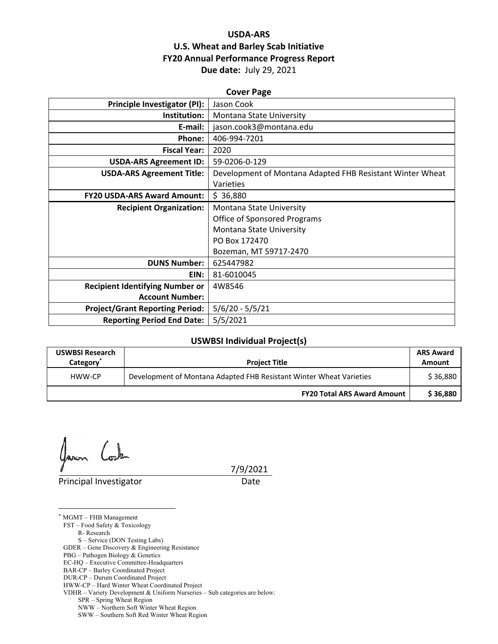## **USDA‐ARS U.S. Wheat and Barley Scab Initiative FY20 Annual Performance Progress Report Due date:** July 29, 2021

| <b>Cover Page</b>                      |                                                           |  |  |
|----------------------------------------|-----------------------------------------------------------|--|--|
| Principle Investigator (PI):           | Jason Cook                                                |  |  |
| Institution:                           | Montana State University                                  |  |  |
| E-mail:                                | jason.cook3@montana.edu                                   |  |  |
| Phone:                                 | 406-994-7201                                              |  |  |
| <b>Fiscal Year:</b>                    | 2020                                                      |  |  |
| <b>USDA-ARS Agreement ID:</b>          | 59-0206-0-129                                             |  |  |
| <b>USDA-ARS Agreement Title:</b>       | Development of Montana Adapted FHB Resistant Winter Wheat |  |  |
|                                        | Varieties                                                 |  |  |
| <b>FY20 USDA-ARS Award Amount:</b>     | \$36,880                                                  |  |  |
| <b>Recipient Organization:</b>         | Montana State University                                  |  |  |
|                                        | <b>Office of Sponsored Programs</b>                       |  |  |
|                                        | Montana State University                                  |  |  |
|                                        | PO Box 172470                                             |  |  |
|                                        | Bozeman, MT 59717-2470                                    |  |  |
| <b>DUNS Number:</b>                    | 625447982                                                 |  |  |
| EIN:                                   | 81-6010045                                                |  |  |
| <b>Recipient Identifying Number or</b> | 4W8546                                                    |  |  |
| <b>Account Number:</b>                 |                                                           |  |  |
| <b>Project/Grant Reporting Period:</b> | $5/6/20 - 5/5/21$                                         |  |  |
| <b>Reporting Period End Date:</b>      | 5/5/2021                                                  |  |  |

#### **USWBSI Individual Project(s)**

| <b>USWBSI Research</b><br>Category <sup>'</sup> | <b>Project Title</b>                                                | <b>ARS Award</b><br>Amount |
|-------------------------------------------------|---------------------------------------------------------------------|----------------------------|
| HWW-CP                                          | Development of Montana Adapted FHB Resistant Winter Wheat Varieties | \$36,880                   |
|                                                 | <b>FY20 Total ARS Award Amount</b>                                  | \$36.880                   |

 $\zeta$ Gavon

 $\overline{a}$ 

Principal Investigator **Date** 

7/9/2021

\* MGMT – FHB Management FST – Food Safety & Toxicology R- Research S – Service (DON Testing Labs) GDER – Gene Discovery & Engineering Resistance PBG – Pathogen Biology & Genetics EC-HQ – Executive Committee-Headquarters BAR-CP – Barley Coordinated Project DUR-CP – Durum Coordinated Project HWW-CP – Hard Winter Wheat Coordinated Project VDHR – Variety Development & Uniform Nurseries – Sub categories are below: SPR – Spring Wheat Region NWW – Northern Soft Winter Wheat Region

SWW – Southern Soft Red Winter Wheat Region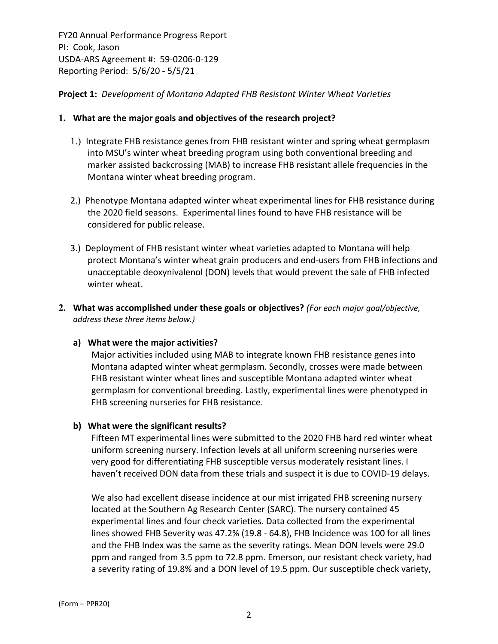**Project 1:** *Development of Montana Adapted FHB Resistant Winter Wheat Varieties*

#### **1. What are the major goals and objectives of the research project?**

- 1.) Integrate FHB resistance genes from FHB resistant winter and spring wheat germplasm into MSU's winter wheat breeding program using both conventional breeding and marker assisted backcrossing (MAB) to increase FHB resistant allele frequencies in the Montana winter wheat breeding program.
- 2.) Phenotype Montana adapted winter wheat experimental lines for FHB resistance during the 2020 field seasons. Experimental lines found to have FHB resistance will be considered for public release.
- 3.) Deployment of FHB resistant winter wheat varieties adapted to Montana will help protect Montana's winter wheat grain producers and end‐users from FHB infections and unacceptable deoxynivalenol (DON) levels that would prevent the sale of FHB infected winter wheat.
- **2. What was accomplished under these goals or objectives?** *(For each major goal/objective, address these three items below.)*

#### **a) What were the major activities?**

Major activities included using MAB to integrate known FHB resistance genes into Montana adapted winter wheat germplasm. Secondly, crosses were made between FHB resistant winter wheat lines and susceptible Montana adapted winter wheat germplasm for conventional breeding. Lastly, experimental lines were phenotyped in FHB screening nurseries for FHB resistance.

## **b) What were the significant results?**

Fifteen MT experimental lines were submitted to the 2020 FHB hard red winter wheat uniform screening nursery. Infection levels at all uniform screening nurseries were very good for differentiating FHB susceptible versus moderately resistant lines. I haven't received DON data from these trials and suspect it is due to COVID‐19 delays.

We also had excellent disease incidence at our mist irrigated FHB screening nursery located at the Southern Ag Research Center (SARC). The nursery contained 45 experimental lines and four check varieties. Data collected from the experimental lines showed FHB Severity was 47.2% (19.8 ‐ 64.8), FHB Incidence was 100 for all lines and the FHB Index was the same as the severity ratings. Mean DON levels were 29.0 ppm and ranged from 3.5 ppm to 72.8 ppm. Emerson, our resistant check variety, had a severity rating of 19.8% and a DON level of 19.5 ppm. Our susceptible check variety,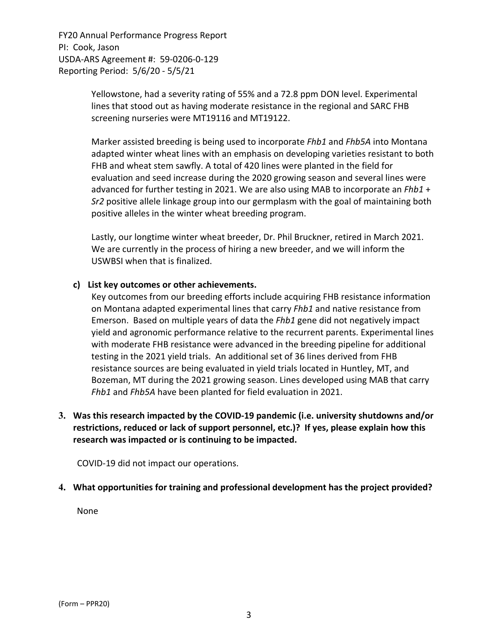> Yellowstone, had a severity rating of 55% and a 72.8 ppm DON level. Experimental lines that stood out as having moderate resistance in the regional and SARC FHB screening nurseries were MT19116 and MT19122.

Marker assisted breeding is being used to incorporate *Fhb1* and *Fhb5A* into Montana adapted winter wheat lines with an emphasis on developing varieties resistant to both FHB and wheat stem sawfly. A total of 420 lines were planted in the field for evaluation and seed increase during the 2020 growing season and several lines were advanced for further testing in 2021. We are also using MAB to incorporate an *Fhb1* + *Sr2* positive allele linkage group into our germplasm with the goal of maintaining both positive alleles in the winter wheat breeding program.

Lastly, our longtime winter wheat breeder, Dr. Phil Bruckner, retired in March 2021. We are currently in the process of hiring a new breeder, and we will inform the USWBSI when that is finalized.

#### **c) List key outcomes or other achievements.**

Key outcomes from our breeding efforts include acquiring FHB resistance information on Montana adapted experimental lines that carry *Fhb1* and native resistance from Emerson. Based on multiple years of data the *Fhb1* gene did not negatively impact yield and agronomic performance relative to the recurrent parents. Experimental lines with moderate FHB resistance were advanced in the breeding pipeline for additional testing in the 2021 yield trials. An additional set of 36 lines derived from FHB resistance sources are being evaluated in yield trials located in Huntley, MT, and Bozeman, MT during the 2021 growing season. Lines developed using MAB that carry *Fhb1* and *Fhb5A* have been planted for field evaluation in 2021.

## **3. Was this research impacted by the COVID‐19 pandemic (i.e. university shutdowns and/or restrictions, reduced or lack of support personnel, etc.)? If yes, please explain how this research was impacted or is continuing to be impacted.**

COVID‐19 did not impact our operations.

## **4. What opportunities for training and professional development has the project provided?**

None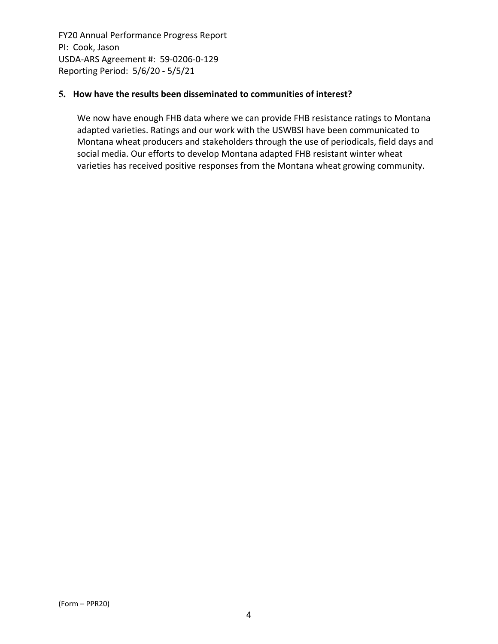#### **5. How have the results been disseminated to communities of interest?**

We now have enough FHB data where we can provide FHB resistance ratings to Montana adapted varieties. Ratings and our work with the USWBSI have been communicated to Montana wheat producers and stakeholders through the use of periodicals, field days and social media. Our efforts to develop Montana adapted FHB resistant winter wheat varieties has received positive responses from the Montana wheat growing community.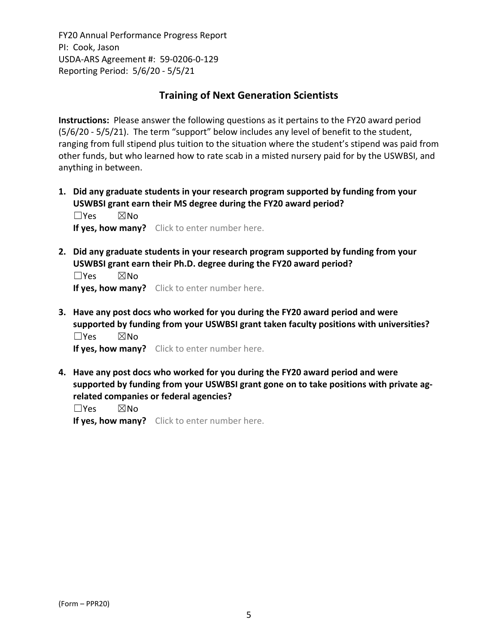# **Training of Next Generation Scientists**

**Instructions:** Please answer the following questions as it pertains to the FY20 award period (5/6/20 ‐ 5/5/21). The term "support" below includes any level of benefit to the student, ranging from full stipend plus tuition to the situation where the student's stipend was paid from other funds, but who learned how to rate scab in a misted nursery paid for by the USWBSI, and anything in between.

**1. Did any graduate students in your research program supported by funding from your USWBSI grant earn their MS degree during the FY20 award period?** ☐Yes ☒No

**If yes, how many?** Click to enter number here.

**2. Did any graduate students in your research program supported by funding from your USWBSI grant earn their Ph.D. degree during the FY20 award period?**

 $\square$ Yes  $\square$ No **If yes, how many?** Click to enter number here.

**3. Have any post docs who worked for you during the FY20 award period and were supported by funding from your USWBSI grant taken faculty positions with universities?** ☐Yes ☒No

**If yes, how many?** Click to enter number here.

**4. Have any post docs who worked for you during the FY20 award period and were supported by funding from your USWBSI grant gone on to take positions with private ag‐ related companies or federal agencies?**

☐Yes ☒No

**If yes, how many?** Click to enter number here.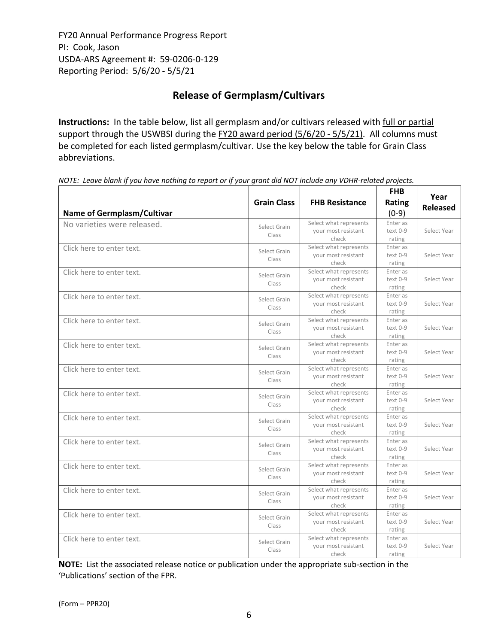# **Release of Germplasm/Cultivars**

**Instructions:** In the table below, list all germplasm and/or cultivars released with full or partial support through the USWBSI during the FY20 award period (5/6/20 - 5/5/21). All columns must be completed for each listed germplasm/cultivar. Use the key below the table for Grain Class abbreviations. 

NOTE: Leave blank if you have nothing to report or if your grant did NOT include any VDHR-related projects.

| <b>Name of Germplasm/Cultivar</b> | <b>Grain Class</b>    | <b>FHB Resistance</b>                                  | <b>FHB</b><br>Rating<br>$(0-9)$  | Year<br><b>Released</b> |
|-----------------------------------|-----------------------|--------------------------------------------------------|----------------------------------|-------------------------|
| No varieties were released.       | Select Grain<br>Class | Select what represents<br>your most resistant<br>check | Enter as<br>$text 0-9$<br>rating | Select Year             |
| Click here to enter text.         | Select Grain<br>Class | Select what represents<br>your most resistant<br>check | Enter as<br>text 0-9<br>rating   | Select Year             |
| Click here to enter text.         | Select Grain<br>Class | Select what represents<br>your most resistant<br>check | Enter as<br>text 0-9<br>rating   | Select Year             |
| Click here to enter text.         | Select Grain<br>Class | Select what represents<br>your most resistant<br>check | Enter as<br>text 0-9<br>rating   | Select Year             |
| Click here to enter text.         | Select Grain<br>Class | Select what represents<br>your most resistant<br>check | Enter as<br>text 0-9<br>rating   | Select Year             |
| Click here to enter text.         | Select Grain<br>Class | Select what represents<br>your most resistant<br>check | Enter as<br>text 0-9<br>rating   | Select Year             |
| Click here to enter text.         | Select Grain<br>Class | Select what represents<br>your most resistant<br>check | Enter as<br>text 0-9<br>rating   | Select Year             |
| Click here to enter text.         | Select Grain<br>Class | Select what represents<br>your most resistant<br>check | Enter as<br>text 0-9<br>rating   | Select Year             |
| Click here to enter text.         | Select Grain<br>Class | Select what represents<br>your most resistant<br>check | Enter as<br>text 0-9<br>rating   | Select Year             |
| Click here to enter text.         | Select Grain<br>Class | Select what represents<br>your most resistant<br>check | Enter as<br>text 0-9<br>rating   | Select Year             |
| Click here to enter text.         | Select Grain<br>Class | Select what represents<br>your most resistant<br>check | Enter as<br>text 0-9<br>rating   | Select Year             |
| Click here to enter text.         | Select Grain<br>Class | Select what represents<br>your most resistant<br>check | Enter as<br>text 0-9<br>rating   | Select Year             |
| Click here to enter text.         | Select Grain<br>Class | Select what represents<br>your most resistant<br>check | Enter as<br>text 0-9<br>rating   | Select Year             |
| Click here to enter text.         | Select Grain<br>Class | Select what represents<br>your most resistant<br>check | Enter as<br>text 0-9<br>rating   | Select Year             |

**NOTE:** List the associated release notice or publication under the appropriate sub-section in the 'Publications' section of the FPR.